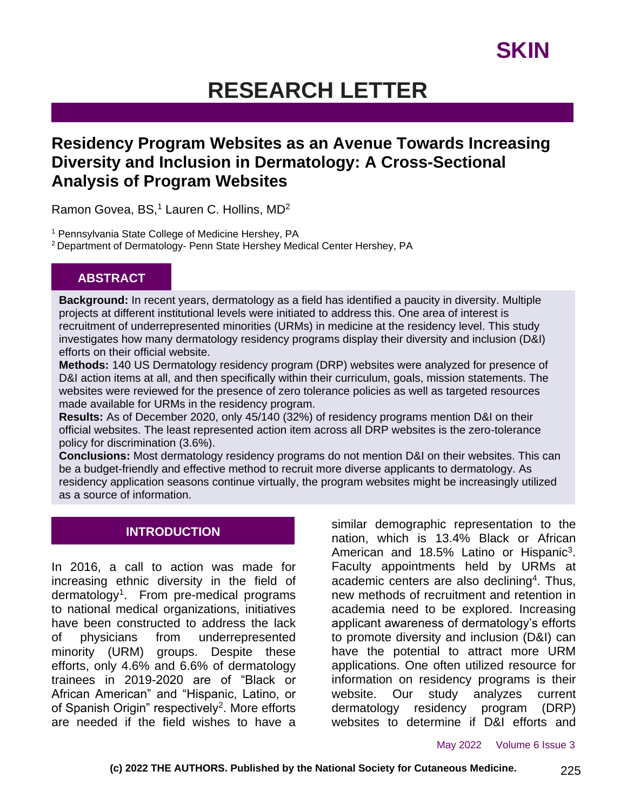# **RESEARCH LETTER**

## **Residency Program Websites as an Avenue Towards Increasing Diversity and Inclusion in Dermatology: A Cross-Sectional Analysis of Program Websites**

Ramon Govea, BS,<sup>1</sup> Lauren C. Hollins, MD<sup>2</sup>

<sup>1</sup> Pennsylvania State College of Medicine Hershey, PA

<sup>2</sup> Department of Dermatology- Penn State Hershey Medical Center Hershey, PA

### **ABSTRACT**

**Background:** In recent years, dermatology as a field has identified a paucity in diversity. Multiple projects at different institutional levels were initiated to address this. One area of interest is recruitment of underrepresented minorities (URMs) in medicine at the residency level. This study investigates how many dermatology residency programs display their diversity and inclusion (D&I) efforts on their official website.

**Methods:** 140 US Dermatology residency program (DRP) websites were analyzed for presence of D&I action items at all, and then specifically within their curriculum, goals, mission statements. The websites were reviewed for the presence of zero tolerance policies as well as targeted resources made available for URMs in the residency program.

**Results:** As of December 2020, only 45/140 (32%) of residency programs mention D&I on their official websites. The least represented action item across all DRP websites is the zero-tolerance policy for discrimination (3.6%).

**Conclusions:** Most dermatology residency programs do not mention D&I on their websites. This can be a budget-friendly and effective method to recruit more diverse applicants to dermatology. As residency application seasons continue virtually, the program websites might be increasingly utilized as a source of information.

### **INTRODUCTION**

In 2016, a call to action was made for increasing ethnic diversity in the field of dermatology<sup>1</sup>. From pre-medical programs to national medical organizations, initiatives have been constructed to address the lack of physicians from underrepresented minority (URM) groups. Despite these efforts, only 4.6% and 6.6% of dermatology trainees in 2019-2020 are of "Black or African American" and "Hispanic, Latino, or of Spanish Origin" respectively<sup>2</sup>. More efforts are needed if the field wishes to have a

similar demographic representation to the nation, which is 13.4% Black or African American and 18.5% Latino or Hispanic<sup>3</sup>. Faculty appointments held by URMs at academic centers are also declining<sup>4</sup>. Thus, new methods of recruitment and retention in academia need to be explored. Increasing applicant awareness of dermatology's efforts to promote diversity and inclusion (D&I) can have the potential to attract more URM applications. One often utilized resource for information on residency programs is their website. Our study analyzes current dermatology residency program (DRP) websites to determine if D&I efforts and

May 2022 Volume 6 Issue 3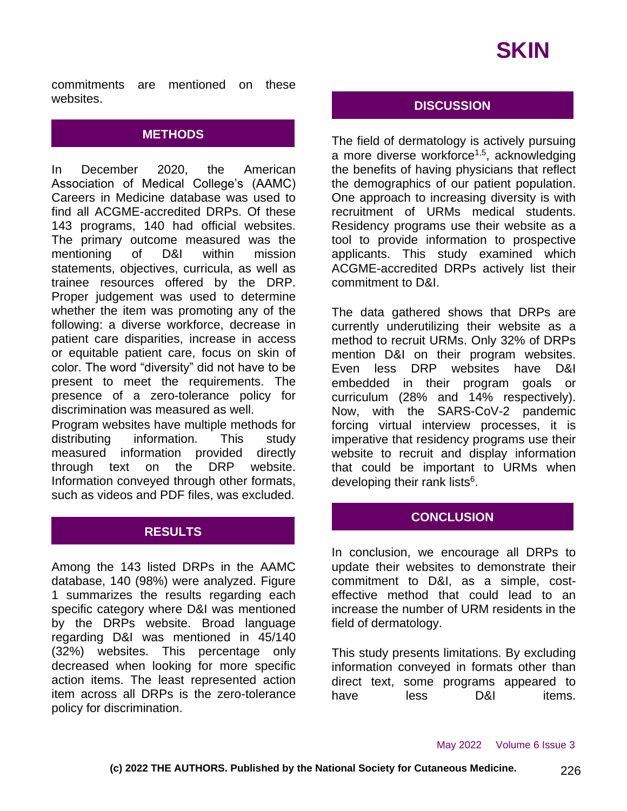

commitments are mentioned on these websites.

#### **METHODS**

In December 2020, the American Association of Medical College's (AAMC) Careers in Medicine database was used to find all ACGME-accredited DRPs. Of these 143 programs, 140 had official websites. The primary outcome measured was the mentioning of D&I within mission statements, objectives, curricula, as well as trainee resources offered by the DRP. Proper judgement was used to determine whether the item was promoting any of the following: a diverse workforce, decrease in patient care disparities, increase in access or equitable patient care, focus on skin of color. The word "diversity" did not have to be present to meet the requirements. The presence of a zero-tolerance policy for discrimination was measured as well.

Program websites have multiple methods for distributing information. This study measured information provided directly through text on the DRP website. Information conveyed through other formats, such as videos and PDF files, was excluded.

#### **RESULTS**

Among the 143 listed DRPs in the AAMC database, 140 (98%) were analyzed. Figure 1 summarizes the results regarding each specific category where D&I was mentioned by the DRPs website. Broad language regarding D&I was mentioned in 45/140 (32%) websites. This percentage only decreased when looking for more specific action items. The least represented action item across all DRPs is the zero-tolerance policy for discrimination.

### **DISCUSSION**

The field of dermatology is actively pursuing a more diverse workforce<sup>1,5</sup>, acknowledging the benefits of having physicians that reflect the demographics of our patient population. One approach to increasing diversity is with recruitment of URMs medical students. Residency programs use their website as a tool to provide information to prospective applicants. This study examined which ACGME-accredited DRPs actively list their commitment to D&I.

The data gathered shows that DRPs are currently underutilizing their website as a method to recruit URMs. Only 32% of DRPs mention D&I on their program websites. Even less DRP websites have D&I embedded in their program goals or curriculum (28% and 14% respectively). Now, with the SARS-CoV-2 pandemic forcing virtual interview processes, it is imperative that residency programs use their website to recruit and display information that could be important to URMs when developing their rank lists<sup>6</sup>.

#### **CONCLUSION**

In conclusion, we encourage all DRPs to update their websites to demonstrate their commitment to D&I, as a simple, costeffective method that could lead to an increase the number of URM residents in the field of dermatology.

This study presents limitations. By excluding information conveyed in formats other than direct text, some programs appeared to have less D&I items.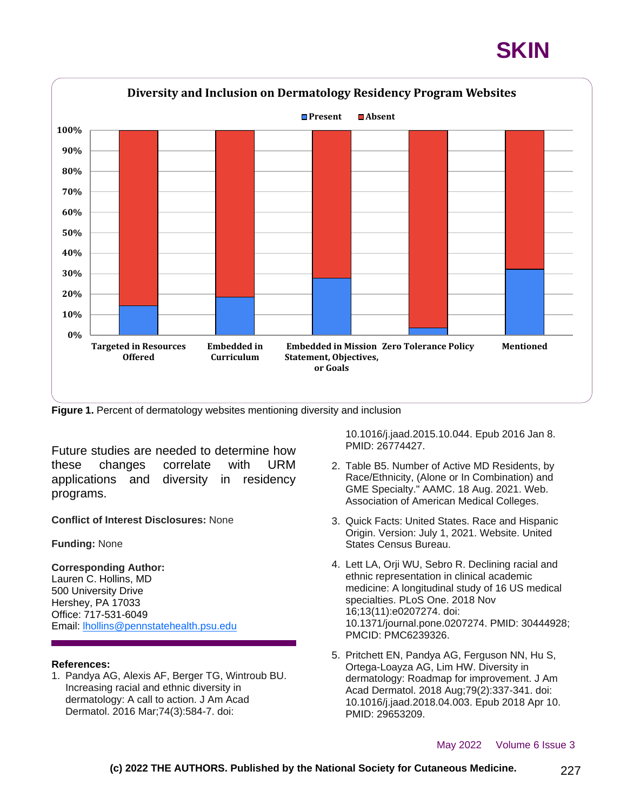# **SKIN**



**Figure 1.** Percent of dermatology websites mentioning diversity and inclusion

Future studies are needed to determine how these changes correlate with URM applications and diversity in residency programs.

**Conflict of Interest Disclosures:** None

**Funding:** None

#### **Corresponding Author:**

Lauren C. Hollins, MD 500 University Drive Hershey, PA 17033 Office: 717-531-6049 Email: [lhollins@pennstatehealth.psu.edu](mailto:lhollins@pennstatehealth.psu.edu)

#### **References:**

1. Pandya AG, Alexis AF, Berger TG, Wintroub BU. Increasing racial and ethnic diversity in dermatology: A call to action. J Am Acad Dermatol. 2016 Mar;74(3):584-7. doi:

10.1016/j.jaad.2015.10.044. Epub 2016 Jan 8. PMID: 26774427.

- 2. Table B5. Number of Active MD Residents, by Race/Ethnicity, (Alone or In Combination) and GME Specialty." AAMC. 18 Aug. 2021. Web. Association of American Medical Colleges.
- 3. Quick Facts: United States. Race and Hispanic Origin. Version: July 1, 2021. Website. United States Census Bureau.
- 4. Lett LA, Orji WU, Sebro R. Declining racial and ethnic representation in clinical academic medicine: A longitudinal study of 16 US medical specialties. PLoS One. 2018 Nov 16;13(11):e0207274. doi: 10.1371/journal.pone.0207274. PMID: 30444928; PMCID: PMC6239326.
- 5. Pritchett EN, Pandya AG, Ferguson NN, Hu S, Ortega-Loayza AG, Lim HW. Diversity in dermatology: Roadmap for improvement. J Am Acad Dermatol. 2018 Aug;79(2):337-341. doi: 10.1016/j.jaad.2018.04.003. Epub 2018 Apr 10. PMID: 29653209.

#### May 2022 Volume 6 Issue 3